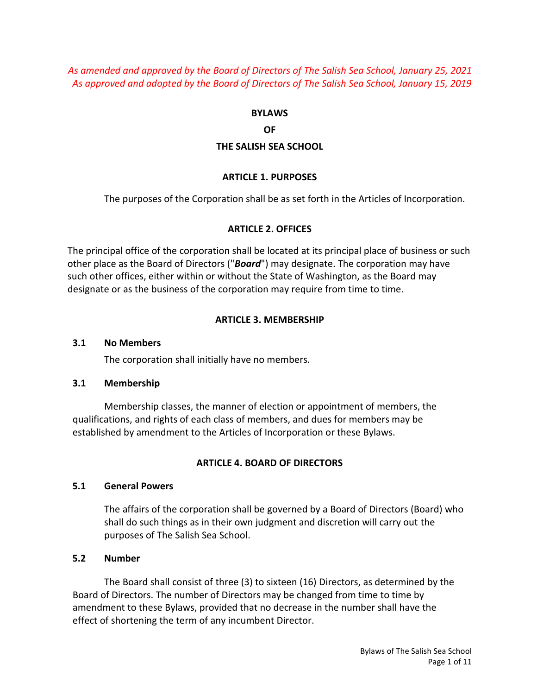*As amended and approved by the Board of Directors of The Salish Sea School, January 25, 2021 As approved and adopted by the Board of Directors of The Salish Sea School, January 15, 2019*

#### **BYLAWS**

#### **OF**

### **THE SALISH SEA SCHOOL**

#### **ARTICLE 1. PURPOSES**

The purposes of the Corporation shall be as set forth in the Articles of Incorporation.

### **ARTICLE 2. OFFICES**

The principal office of the corporation shall be located at its principal place of business or such other place as the Board of Directors ("*Board*") may designate. The corporation may have such other offices, either within or without the State of Washington, as the Board may designate or as the business of the corporation may require from time to time.

### **ARTICLE 3. MEMBERSHIP**

#### **3.1 No Members**

The corporation shall initially have no members.

#### **3.1 Membership**

Membership classes, the manner of election or appointment of members, the qualifications, and rights of each class of members, and dues for members may be established by amendment to the Articles of Incorporation or these Bylaws.

### **ARTICLE 4. BOARD OF DIRECTORS**

### **5.1 General Powers**

The affairs of the corporation shall be governed by a Board of Directors (Board) who shall do such things as in their own judgment and discretion will carry out the purposes of The Salish Sea School.

#### **5.2 Number**

The Board shall consist of three (3) to sixteen (16) Directors, as determined by the Board of Directors. The number of Directors may be changed from time to time by amendment to these Bylaws, provided that no decrease in the number shall have the effect of shortening the term of any incumbent Director.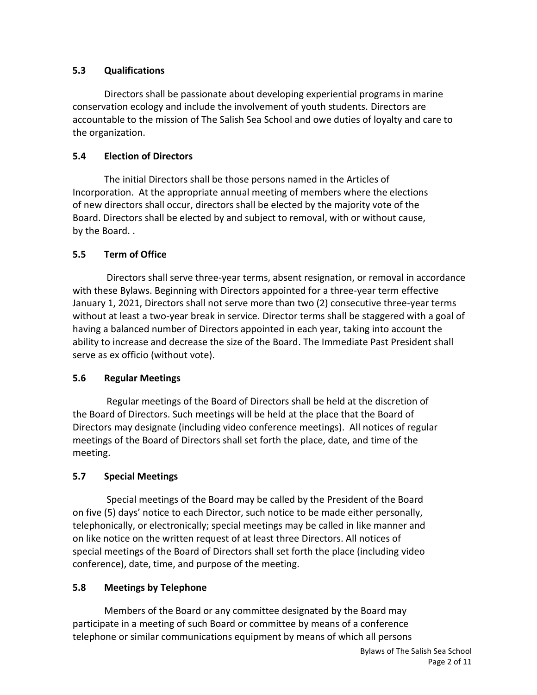# **5.3 Qualifications**

Directors shall be passionate about developing experiential programs in marine conservation ecology and include the involvement of youth students. Directors are accountable to the mission of The Salish Sea School and owe duties of loyalty and care to the organization.

# **5.4 Election of Directors**

The initial Directors shall be those persons named in the Articles of Incorporation. At the appropriate annual meeting of members where the elections of new directors shall occur, directors shall be elected by the majority vote of the Board. Directors shall be elected by and subject to removal, with or without cause, by the Board. .

# **5.5 Term of Office**

Directors shall serve three-year terms, absent resignation, or removal in accordance with these Bylaws. Beginning with Directors appointed for a three-year term effective January 1, 2021, Directors shall not serve more than two (2) consecutive three-year terms without at least a two-year break in service. Director terms shall be staggered with a goal of having a balanced number of Directors appointed in each year, taking into account the ability to increase and decrease the size of the Board. The Immediate Past President shall serve as ex officio (without vote).

# **5.6 Regular Meetings**

Regular meetings of the Board of Directors shall be held at the discretion of the Board of Directors. Such meetings will be held at the place that the Board of Directors may designate (including video conference meetings). All notices of regular meetings of the Board of Directors shall set forth the place, date, and time of the meeting.

# **5.7 Special Meetings**

Special meetings of the Board may be called by the President of the Board on five (5) days' notice to each Director, such notice to be made either personally, telephonically, or electronically; special meetings may be called in like manner and on like notice on the written request of at least three Directors. All notices of special meetings of the Board of Directors shall set forth the place (including video conference), date, time, and purpose of the meeting.

# **5.8 Meetings by Telephone**

Members of the Board or any committee designated by the Board may participate in a meeting of such Board or committee by means of a conference telephone or similar communications equipment by means of which all persons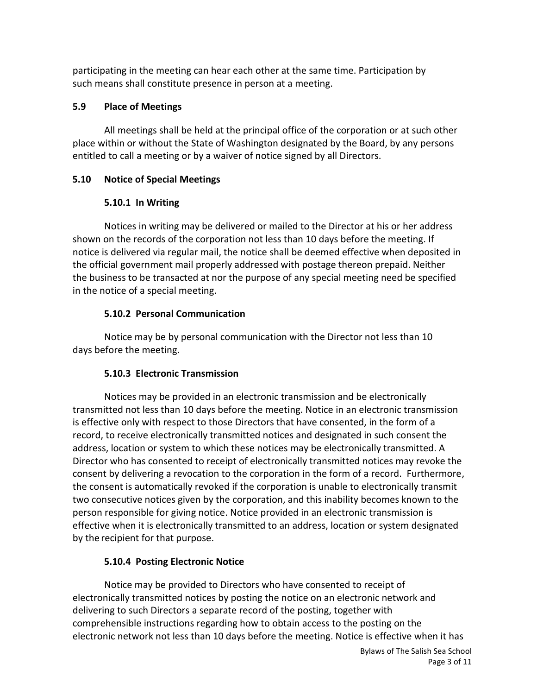participating in the meeting can hear each other at the same time. Participation by such means shall constitute presence in person at a meeting.

# **5.9 Place of Meetings**

All meetings shall be held at the principal office of the corporation or at such other place within or without the State of Washington designated by the Board, by any persons entitled to call a meeting or by a waiver of notice signed by all Directors.

# **5.10 Notice of Special Meetings**

# **5.10.1 In Writing**

Notices in writing may be delivered or mailed to the Director at his or her address shown on the records of the corporation not less than 10 days before the meeting. If notice is delivered via regular mail, the notice shall be deemed effective when deposited in the official government mail properly addressed with postage thereon prepaid. Neither the business to be transacted at nor the purpose of any special meeting need be specified in the notice of a special meeting.

# **5.10.2 Personal Communication**

Notice may be by personal communication with the Director not less than 10 days before the meeting.

# **5.10.3 Electronic Transmission**

Notices may be provided in an electronic transmission and be electronically transmitted not less than 10 days before the meeting. Notice in an electronic transmission is effective only with respect to those Directors that have consented, in the form of a record, to receive electronically transmitted notices and designated in such consent the address, location or system to which these notices may be electronically transmitted. A Director who has consented to receipt of electronically transmitted notices may revoke the consent by delivering a revocation to the corporation in the form of a record. Furthermore, the consent is automatically revoked if the corporation is unable to electronically transmit two consecutive notices given by the corporation, and this inability becomes known to the person responsible for giving notice. Notice provided in an electronic transmission is effective when it is electronically transmitted to an address, location or system designated by the recipient for that purpose.

# **5.10.4 Posting Electronic Notice**

Notice may be provided to Directors who have consented to receipt of electronically transmitted notices by posting the notice on an electronic network and delivering to such Directors a separate record of the posting, together with comprehensible instructions regarding how to obtain access to the posting on the electronic network not less than 10 days before the meeting. Notice is effective when it has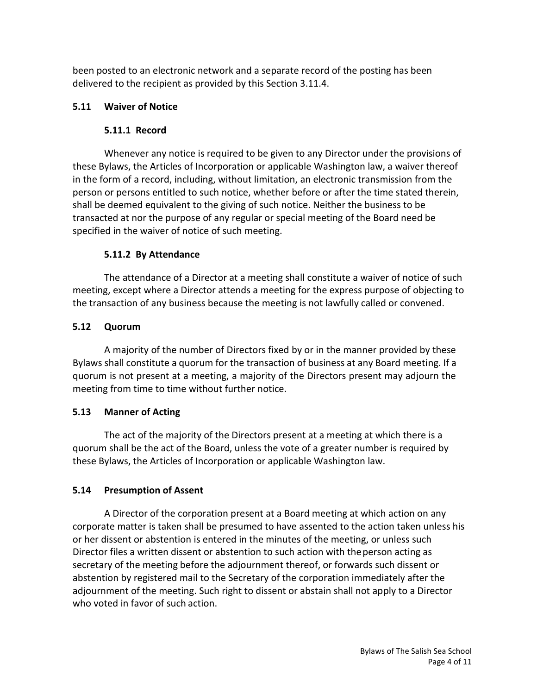been posted to an electronic network and a separate record of the posting has been delivered to the recipient as provided by this Section 3.11.4.

### **5.11 Waiver of Notice**

### **5.11.1 Record**

Whenever any notice is required to be given to any Director under the provisions of these Bylaws, the Articles of Incorporation or applicable Washington law, a waiver thereof in the form of a record, including, without limitation, an electronic transmission from the person or persons entitled to such notice, whether before or after the time stated therein, shall be deemed equivalent to the giving of such notice. Neither the business to be transacted at nor the purpose of any regular or special meeting of the Board need be specified in the waiver of notice of such meeting.

### **5.11.2 By Attendance**

The attendance of a Director at a meeting shall constitute a waiver of notice of such meeting, except where a Director attends a meeting for the express purpose of objecting to the transaction of any business because the meeting is not lawfully called or convened.

### **5.12 Quorum**

A majority of the number of Directors fixed by or in the manner provided by these Bylaws shall constitute a quorum for the transaction of business at any Board meeting. If a quorum is not present at a meeting, a majority of the Directors present may adjourn the meeting from time to time without further notice.

# **5.13 Manner of Acting**

The act of the majority of the Directors present at a meeting at which there is a quorum shall be the act of the Board, unless the vote of a greater number is required by these Bylaws, the Articles of Incorporation or applicable Washington law.

# **5.14 Presumption of Assent**

A Director of the corporation present at a Board meeting at which action on any corporate matter is taken shall be presumed to have assented to the action taken unless his or her dissent or abstention is entered in the minutes of the meeting, or unless such Director files a written dissent or abstention to such action with theperson acting as secretary of the meeting before the adjournment thereof, or forwards such dissent or abstention by registered mail to the Secretary of the corporation immediately after the adjournment of the meeting. Such right to dissent or abstain shall not apply to a Director who voted in favor of such action.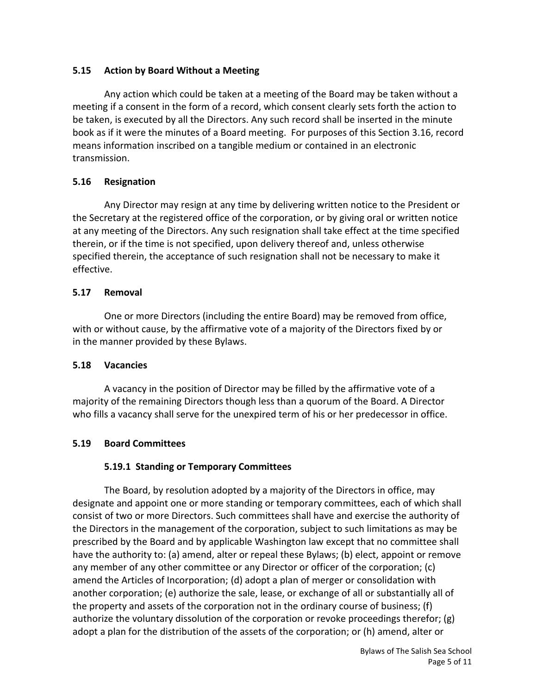# **5.15 Action by Board Without a Meeting**

Any action which could be taken at a meeting of the Board may be taken without a meeting if a consent in the form of a record, which consent clearly sets forth the action to be taken, is executed by all the Directors. Any such record shall be inserted in the minute book as if it were the minutes of a Board meeting. For purposes of this Section 3.16, record means information inscribed on a tangible medium or contained in an electronic transmission.

# **5.16 Resignation**

Any Director may resign at any time by delivering written notice to the President or the Secretary at the registered office of the corporation, or by giving oral or written notice at any meeting of the Directors. Any such resignation shall take effect at the time specified therein, or if the time is not specified, upon delivery thereof and, unless otherwise specified therein, the acceptance of such resignation shall not be necessary to make it effective.

### **5.17 Removal**

One or more Directors (including the entire Board) may be removed from office, with or without cause, by the affirmative vote of a majority of the Directors fixed by or in the manner provided by these Bylaws.

# **5.18 Vacancies**

A vacancy in the position of Director may be filled by the affirmative vote of a majority of the remaining Directors though less than a quorum of the Board. A Director who fills a vacancy shall serve for the unexpired term of his or her predecessor in office.

# **5.19 Board Committees**

# **5.19.1 Standing or Temporary Committees**

The Board, by resolution adopted by a majority of the Directors in office, may designate and appoint one or more standing or temporary committees, each of which shall consist of two or more Directors. Such committees shall have and exercise the authority of the Directors in the management of the corporation, subject to such limitations as may be prescribed by the Board and by applicable Washington law except that no committee shall have the authority to: (a) amend, alter or repeal these Bylaws; (b) elect, appoint or remove any member of any other committee or any Director or officer of the corporation; (c) amend the Articles of Incorporation; (d) adopt a plan of merger or consolidation with another corporation; (e) authorize the sale, lease, or exchange of all or substantially all of the property and assets of the corporation not in the ordinary course of business; (f) authorize the voluntary dissolution of the corporation or revoke proceedings therefor; (g) adopt a plan for the distribution of the assets of the corporation; or (h) amend, alter or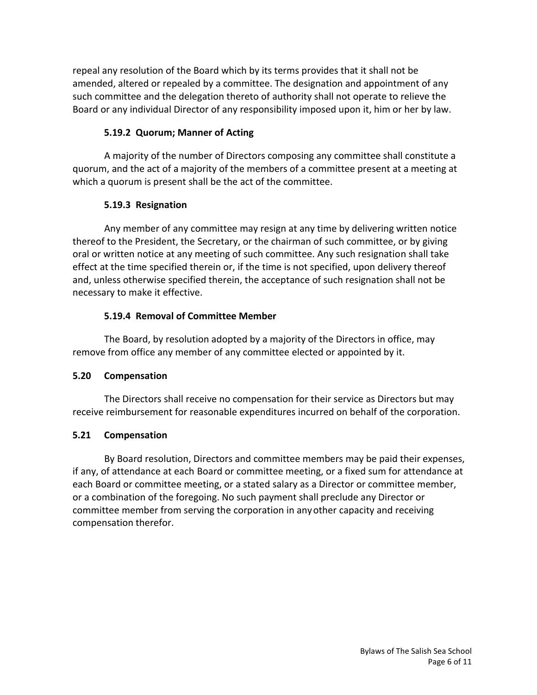repeal any resolution of the Board which by its terms provides that it shall not be amended, altered or repealed by a committee. The designation and appointment of any such committee and the delegation thereto of authority shall not operate to relieve the Board or any individual Director of any responsibility imposed upon it, him or her by law.

### **5.19.2 Quorum; Manner of Acting**

A majority of the number of Directors composing any committee shall constitute a quorum, and the act of a majority of the members of a committee present at a meeting at which a quorum is present shall be the act of the committee.

# **5.19.3 Resignation**

Any member of any committee may resign at any time by delivering written notice thereof to the President, the Secretary, or the chairman of such committee, or by giving oral or written notice at any meeting of such committee. Any such resignation shall take effect at the time specified therein or, if the time is not specified, upon delivery thereof and, unless otherwise specified therein, the acceptance of such resignation shall not be necessary to make it effective.

### **5.19.4 Removal of Committee Member**

The Board, by resolution adopted by a majority of the Directors in office, may remove from office any member of any committee elected or appointed by it.

### **5.20 Compensation**

The Directors shall receive no compensation for their service as Directors but may receive reimbursement for reasonable expenditures incurred on behalf of the corporation.

# **5.21 Compensation**

By Board resolution, Directors and committee members may be paid their expenses, if any, of attendance at each Board or committee meeting, or a fixed sum for attendance at each Board or committee meeting, or a stated salary as a Director or committee member, or a combination of the foregoing. No such payment shall preclude any Director or committee member from serving the corporation in any other capacity and receiving compensation therefor.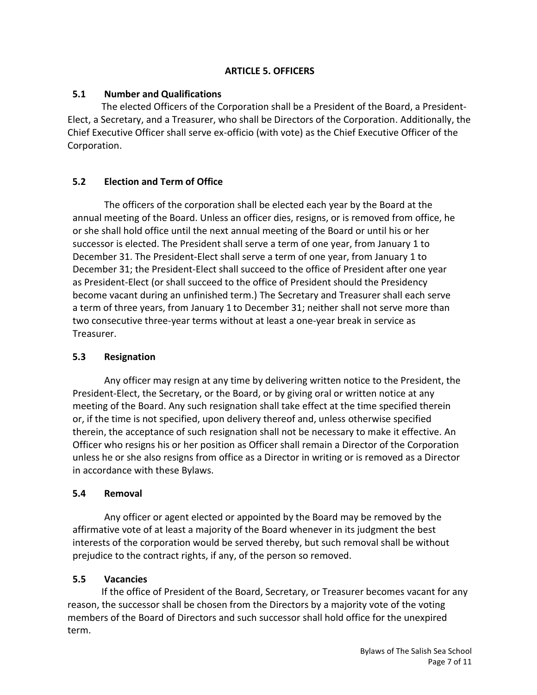### **ARTICLE 5. OFFICERS**

### **5.1 Number and Qualifications**

The elected Officers of the Corporation shall be a President of the Board, a President-Elect, a Secretary, and a Treasurer, who shall be Directors of the Corporation. Additionally, the Chief Executive Officer shall serve ex-officio (with vote) as the Chief Executive Officer of the Corporation.

# **5.2 Election and Term of Office**

The officers of the corporation shall be elected each year by the Board at the annual meeting of the Board. Unless an officer dies, resigns, or is removed from office, he or she shall hold office until the next annual meeting of the Board or until his or her successor is elected. The President shall serve a term of one year, from January 1 to December 31. The President-Elect shall serve a term of one year, from January 1 to December 31; the President-Elect shall succeed to the office of President after one year as President-Elect (or shall succeed to the office of President should the Presidency become vacant during an unfinished term.) The Secretary and Treasurer shall each serve a term of three years, from January 1 to December 31; neither shall not serve more than two consecutive three-year terms without at least a one-year break in service as Treasurer.

### **5.3 Resignation**

Any officer may resign at any time by delivering written notice to the President, the President-Elect, the Secretary, or the Board, or by giving oral or written notice at any meeting of the Board. Any such resignation shall take effect at the time specified therein or, if the time is not specified, upon delivery thereof and, unless otherwise specified therein, the acceptance of such resignation shall not be necessary to make it effective. An Officer who resigns his or her position as Officer shall remain a Director of the Corporation unless he or she also resigns from office as a Director in writing or is removed as a Director in accordance with these Bylaws.

### **5.4 Removal**

Any officer or agent elected or appointed by the Board may be removed by the affirmative vote of at least a majority of the Board whenever in its judgment the best interests of the corporation would be served thereby, but such removal shall be without prejudice to the contract rights, if any, of the person so removed.

### **5.5 Vacancies**

If the office of President of the Board, Secretary, or Treasurer becomes vacant for any reason, the successor shall be chosen from the Directors by a majority vote of the voting members of the Board of Directors and such successor shall hold office for the unexpired term.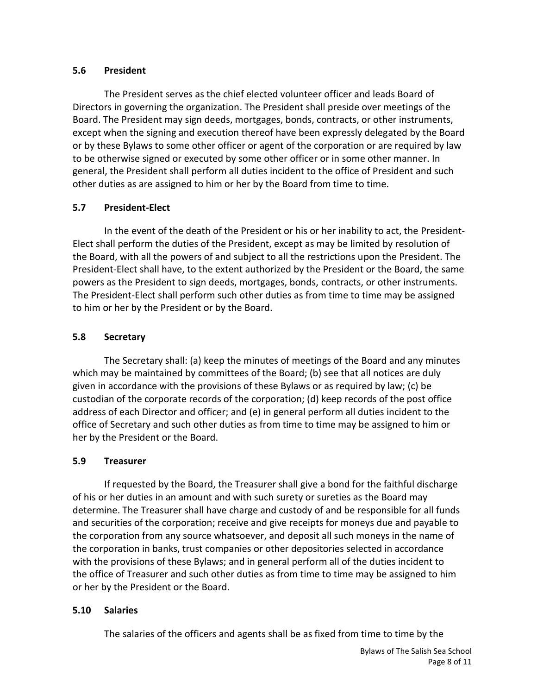### **5.6 President**

The President serves as the chief elected volunteer officer and leads Board of Directors in governing the organization. The President shall preside over meetings of the Board. The President may sign deeds, mortgages, bonds, contracts, or other instruments, except when the signing and execution thereof have been expressly delegated by the Board or by these Bylaws to some other officer or agent of the corporation or are required by law to be otherwise signed or executed by some other officer or in some other manner. In general, the President shall perform all duties incident to the office of President and such other duties as are assigned to him or her by the Board from time to time.

# **5.7 President-Elect**

In the event of the death of the President or his or her inability to act, the President-Elect shall perform the duties of the President, except as may be limited by resolution of the Board, with all the powers of and subject to all the restrictions upon the President. The President-Elect shall have, to the extent authorized by the President or the Board, the same powers as the President to sign deeds, mortgages, bonds, contracts, or other instruments. The President-Elect shall perform such other duties as from time to time may be assigned to him or her by the President or by the Board.

### **5.8 Secretary**

The Secretary shall: (a) keep the minutes of meetings of the Board and any minutes which may be maintained by committees of the Board; (b) see that all notices are duly given in accordance with the provisions of these Bylaws or as required by law; (c) be custodian of the corporate records of the corporation; (d) keep records of the post office address of each Director and officer; and (e) in general perform all duties incident to the office of Secretary and such other duties as from time to time may be assigned to him or her by the President or the Board.

# **5.9 Treasurer**

If requested by the Board, the Treasurer shall give a bond for the faithful discharge of his or her duties in an amount and with such surety or sureties as the Board may determine. The Treasurer shall have charge and custody of and be responsible for all funds and securities of the corporation; receive and give receipts for moneys due and payable to the corporation from any source whatsoever, and deposit all such moneys in the name of the corporation in banks, trust companies or other depositories selected in accordance with the provisions of these Bylaws; and in general perform all of the duties incident to the office of Treasurer and such other duties as from time to time may be assigned to him or her by the President or the Board.

# **5.10 Salaries**

The salaries of the officers and agents shall be as fixed from time to time by the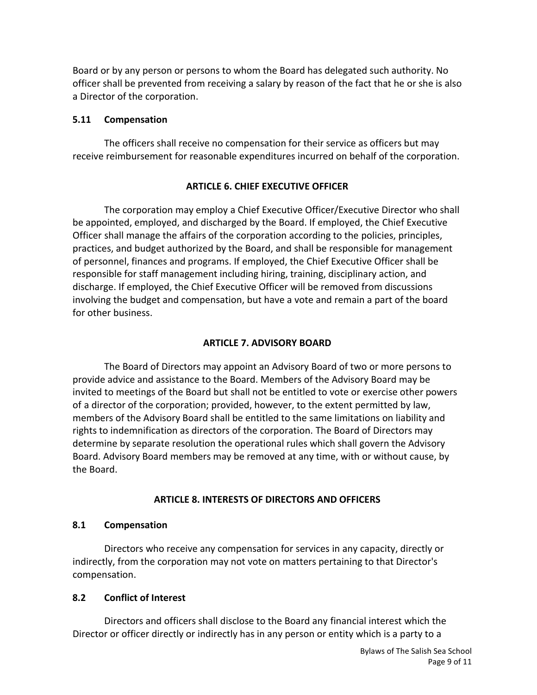Board or by any person or persons to whom the Board has delegated such authority. No officer shall be prevented from receiving a salary by reason of the fact that he or she is also a Director of the corporation.

### **5.11 Compensation**

The officers shall receive no compensation for their service as officers but may receive reimbursement for reasonable expenditures incurred on behalf of the corporation.

### **ARTICLE 6. CHIEF EXECUTIVE OFFICER**

The corporation may employ a Chief Executive Officer/Executive Director who shall be appointed, employed, and discharged by the Board. If employed, the Chief Executive Officer shall manage the affairs of the corporation according to the policies, principles, practices, and budget authorized by the Board, and shall be responsible for management of personnel, finances and programs. If employed, the Chief Executive Officer shall be responsible for staff management including hiring, training, disciplinary action, and discharge. If employed, the Chief Executive Officer will be removed from discussions involving the budget and compensation, but have a vote and remain a part of the board for other business.

### **ARTICLE 7. ADVISORY BOARD**

The Board of Directors may appoint an Advisory Board of two or more persons to provide advice and assistance to the Board. Members of the Advisory Board may be invited to meetings of the Board but shall not be entitled to vote or exercise other powers of a director of the corporation; provided, however, to the extent permitted by law, members of the Advisory Board shall be entitled to the same limitations on liability and rights to indemnification as directors of the corporation. The Board of Directors may determine by separate resolution the operational rules which shall govern the Advisory Board. Advisory Board members may be removed at any time, with or without cause, by the Board.

### **ARTICLE 8. INTERESTS OF DIRECTORS AND OFFICERS**

#### **8.1 Compensation**

Directors who receive any compensation for services in any capacity, directly or indirectly, from the corporation may not vote on matters pertaining to that Director's compensation.

### **8.2 Conflict of Interest**

Directors and officers shall disclose to the Board any financial interest which the Director or officer directly or indirectly has in any person or entity which is a party to a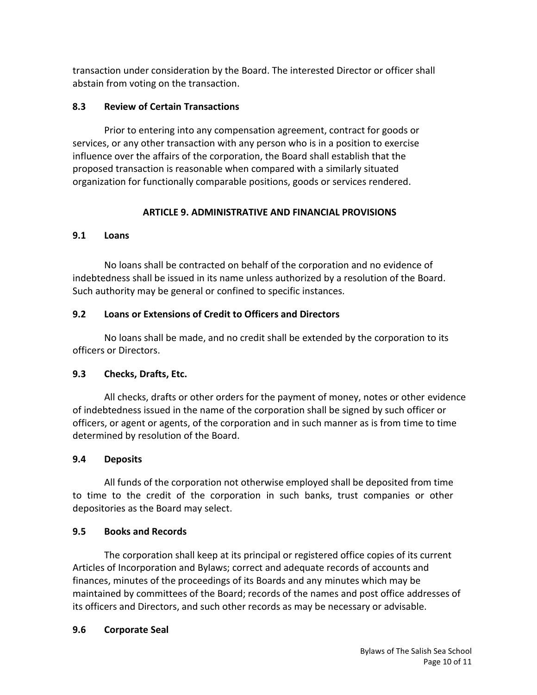transaction under consideration by the Board. The interested Director or officer shall abstain from voting on the transaction.

### **8.3 Review of Certain Transactions**

Prior to entering into any compensation agreement, contract for goods or services, or any other transaction with any person who is in a position to exercise influence over the affairs of the corporation, the Board shall establish that the proposed transaction is reasonable when compared with a similarly situated organization for functionally comparable positions, goods or services rendered.

# **ARTICLE 9. ADMINISTRATIVE AND FINANCIAL PROVISIONS**

### **9.1 Loans**

No loans shall be contracted on behalf of the corporation and no evidence of indebtedness shall be issued in its name unless authorized by a resolution of the Board. Such authority may be general or confined to specific instances.

# **9.2 Loans or Extensions of Credit to Officers and Directors**

No loans shall be made, and no credit shall be extended by the corporation to its officers or Directors.

# **9.3 Checks, Drafts, Etc.**

All checks, drafts or other orders for the payment of money, notes or other evidence of indebtedness issued in the name of the corporation shall be signed by such officer or officers, or agent or agents, of the corporation and in such manner as is from time to time determined by resolution of the Board.

# **9.4 Deposits**

All funds of the corporation not otherwise employed shall be deposited from time to time to the credit of the corporation in such banks, trust companies or other depositories as the Board may select.

# **9.5 Books and Records**

The corporation shall keep at its principal or registered office copies of its current Articles of Incorporation and Bylaws; correct and adequate records of accounts and finances, minutes of the proceedings of its Boards and any minutes which may be maintained by committees of the Board; records of the names and post office addresses of its officers and Directors, and such other records as may be necessary or advisable.

# **9.6 Corporate Seal**